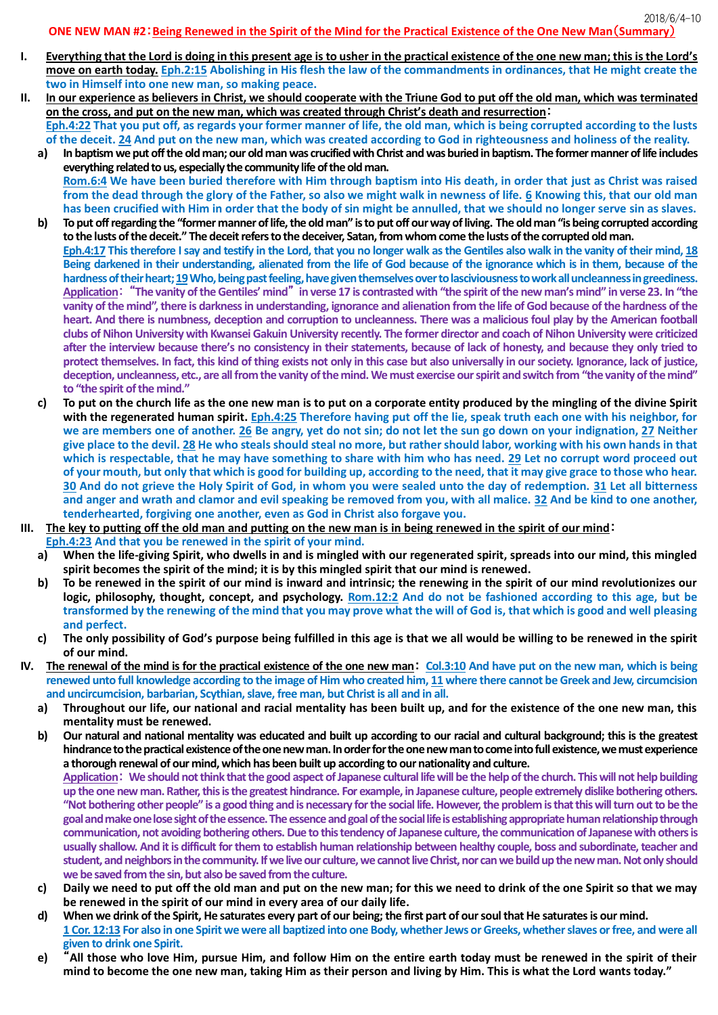- **I. Everything that the Lord is doing in this present age is to usher in the practical existence of the one new man; this is the Lord's move on earth today. Eph.2:15 Abolishing in His flesh the law of the commandments in ordinances, that He might create the two in Himself into one new man, so making peace.**
- **II. In our experience as believers in Christ, we should cooperate with the Triune God to put off the old man, which was terminated on the cross, and put on the new man, which was created through Christ's death and resurrection**: **Eph.4:22 That you put off, as regards your former manner of life, the old man, which is being corrupted according to the lusts of the deceit. 24 And put on the new man, which was created according to God in righteousness and holiness of the reality.**
	- **a) In baptism we put off the old man; our old man was crucified with Christ and was buried in baptism. The former manner of life includes everything related to us, especially the community life of the old man. Rom.6:4 We have been buried therefore with Him through baptism into His death, in order that just as Christ was raised from the dead through the glory of the Father, so also we might walk in newness of life. 6 Knowing this, that our old man has been crucified with Him in order that the body of sin might be annulled, that we should no longer serve sin as slaves.**
	- **b) To put off regarding the "former manner of life, the old man" is to put off our way of living. The old man "is being corrupted according to the lusts of the deceit." The deceit refers to the deceiver, Satan, from whom come the lusts ofthe corrupted old man. Eph.4:17 This therefore I say and testify in the Lord, that you no longer walk as the Gentiles also walk in the vanity of their mind, 18 Being darkened in their understanding, alienated from the life of God because of the ignorance which is in them, because of the hardness of their heart;19Who, being past feeling, have given themselves over to lasciviousness to work all uncleanness in greediness. Application**: "**The vanity of the Gentiles' mind**" **in verse 17 is contrasted with "the spirit of the new man's mind" in verse 23. In "the vanity of the mind", there is darkness in understanding, ignorance and alienation from the life of God because ofthe hardness of the heart. And there is numbness, deception and corruption to uncleanness. There was a malicious foul play by the American football clubs ofNihon University with Kwansei Gakuin University recently. The former director and coach of Nihon University were criticized after the interview because there's no consistency in their statements, because of lack of honesty, and because they only tried to protect themselves. In fact, this kind of thing exists not only in this case but also universally in our society. Ignorance, lack of justice, deception, uncleanness, etc., are all from the vanity of the mind. We must exercise our spirit and switch from "the vanity of the mind" to "the spirit of the mind."**
	- **c) To put on the church life as the one new man is to put on a corporate entity produced by the mingling of the divine Spirit with the regenerated human spirit. Eph.4:25 Therefore having put off the lie, speak truth each one with his neighbor, for we are members one of another. 26 Be angry, yet do not sin; do not let the sun go down on your indignation, 27 Neither give place to the devil. 28 He who steals should steal no more, but rather should labor, working with his own hands in that which is respectable, that he may have something to share with him who has need. 29 Let no corrupt word proceed out of your mouth, but only that which is good for building up, according to the need, that it may give grace to those who hear. 30 And do not grieve the Holy Spirit of God, in whom you were sealed unto the day of redemption. 31 Let all bitterness and anger and wrath and clamor and evil speaking be removed from you, with all malice. 32 And be kind to one another, tenderhearted, forgiving one another, even as God in Christ also forgave you.**
- **III. The key to putting off the old man and putting on the new man is in being renewed in the spirit of our mind**: **Eph.4:23 And that you be renewed in the spirit of your mind.**
	- **a) When the life-giving Spirit, who dwells in and is mingled with our regenerated spirit, spreads into our mind, this mingled spirit becomes the spirit of the mind; it is by this mingled spirit that our mind is renewed.**
	- **b) To be renewed in the spirit of our mind is inward and intrinsic; the renewing in the spirit of our mind revolutionizes our logic, philosophy, thought, concept, and psychology. Rom.12:2 And do not be fashioned according to this age, but be transformed by the renewing of the mind that you may prove what the will of God is, that which is good and well pleasing and perfect.**
	- **c) The only possibility of God's purpose being fulfilled in this age is that we all would be willing to be renewed in the spirit of our mind.**
- **IV. The renewal of the mind is for the practical existence of the one new man**: **Col.3:10 And have put on the new man, which is being renewed unto full knowledge according to the image of Him who created him, 11 where there cannot be Greek and Jew, circumcision and uncircumcision, barbarian, Scythian, slave, free man, but Christ is all and in all.**
	- **a) Throughout our life, our national and racial mentality has been built up, and for the existence of the one new man, this mentality must be renewed.**
	- **b) Our natural and national mentality was educated and built up according to our racial and cultural background; this is the greatest hindrance to the practical existence of the one new man. In order for the one new man to come into full existence, we must experience a thorough renewal of our mind, which has been built up according to our nationality and culture. Application**: **We should not think that the good aspect of Japanese cultural life will be the help of the church. This will not help building up the one new man. Rather, this is the greatest hindrance. For example, in Japanese culture, people extremely dislike bothering others. "Not bothering other people" is a good thing and is necessary for the social life. However, the problem is that this will turn out to be the goal and make one lose sight of the essence. The essence and goal of the social life is establishing appropriate human relationship through communication, not avoiding bothering others. Due to this tendency of Japanese culture, the communication of Japanese with others is usually shallow. And it is difficult for them to establish human relationship between healthy couple, boss and subordinate, teacher and**  student, and neighbors in the community. If we live our culture, we cannot live Christ, nor can we build up the new man. Not only should **we be saved from the sin, but also be saved from the culture.**
	- **c) Daily we need to put off the old man and put on the new man; for this we need to drink of the one Spirit so that we may be renewed in the spirit of our mind in every area of our daily life.**
	- **d) When we drink of the Spirit, He saturates every part of our being; the first part of our soul that He saturates is our mind. 1 Cor. 12:13 For also in one Spirit we were all baptized into one Body, whether Jews or Greeks, whether slaves or free, and were all given to drink one Spirit.**
	- **e)** "**All those who love Him, pursue Him, and follow Him on the entire earth today must be renewed in the spirit of their mind to become the one new man, taking Him as their person and living by Him. This is what the Lord wants today."**